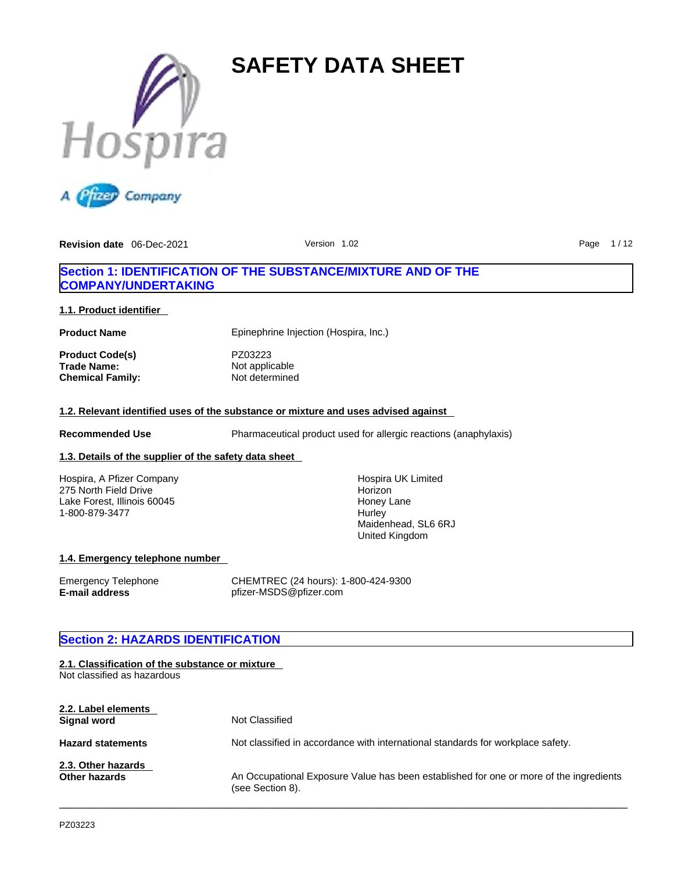



# **Section 1: IDENTIFICATION OF THE SUBSTANCE/MIXTURE AND OF THE COMPANY/UNDERTAKING**

### **1.1. Product identifier**

**Chemical Family:** 

**Product Name** Epinephrine Injection (Hospira, Inc.)

**Product Code(s)** PZ03223 **Trade Name:** Not applicable<br> **Chemical Family:** Not determined

## **1.2. Relevant identified uses of the substance or mixture and uses advised against**

**Recommended Use** Pharmaceutical product used for allergic reactions (anaphylaxis)

# **1.3. Details of the supplier of the safety data sheet**

Hospira, A Pfizer Company 275 North Field Drive Lake Forest, Illinois 60045 1-800-879-3477

Hospira UK Limited Horizon Honey Lane **Hurley** Maidenhead, SL6 6RJ United Kingdom

### **1.4. Emergency telephone number**

Emergency Telephone CHEMTREC (24 hours): 1-800-424-9300 **E-mail address** pfizer-MSDS@pfizer.com

# **Section 2: HAZARDS IDENTIFICATION**

# **2.1. Classification of the substance or mixture** Not classified as hazardous **2.2. Label elements Signal word** Not Classified **Hazard statements** Not classified in accordance with international standards for workplace safety. **2.3. Other hazards Other hazards** An Occupational Exposure Value has been established for one or more of the ingredients (see Section 8).  $\_$  ,  $\_$  ,  $\_$  ,  $\_$  ,  $\_$  ,  $\_$  ,  $\_$  ,  $\_$  ,  $\_$  ,  $\_$  ,  $\_$  ,  $\_$  ,  $\_$  ,  $\_$  ,  $\_$  ,  $\_$  ,  $\_$  ,  $\_$  ,  $\_$  ,  $\_$  ,  $\_$  ,  $\_$  ,  $\_$  ,  $\_$  ,  $\_$  ,  $\_$  ,  $\_$  ,  $\_$  ,  $\_$  ,  $\_$  ,  $\_$  ,  $\_$  ,  $\_$  ,  $\_$  ,  $\_$  ,  $\_$  ,  $\_$  ,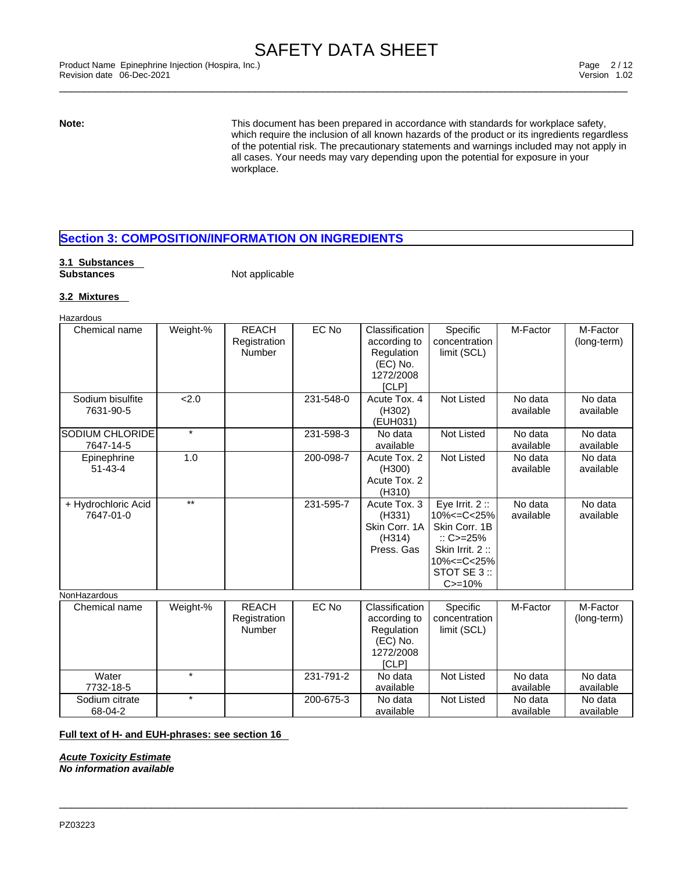\_\_\_\_\_\_\_\_\_\_\_\_\_\_\_\_\_\_\_\_\_\_\_\_\_\_\_\_\_\_\_\_\_\_\_\_\_\_\_\_\_\_\_\_\_\_\_\_\_\_\_\_\_\_\_\_\_\_\_\_\_\_\_\_\_\_\_\_\_\_\_\_\_\_\_\_\_\_\_\_\_\_\_\_\_\_\_\_\_\_\_\_\_ Product Name Epinephrine Injection (Hospira, Inc.) Page 2 / 12 Revision date 06-Dec-2021 Version 1.02

**Note:** This document has been prepared in accordance with standards for workplace safety, which require the inclusion of all known hazards of the product or its ingredients regardless of the potential risk. The precautionary statements and warnings included may not apply in all cases. Your needs may vary depending upon the potential for exposure in your workplace.

# **Section 3: COMPOSITION/INFORMATION ON INGREDIENTS**

# **3.1 Substances**

**Not applicable** 

## **3.2 Mixtures**

Hazardous

| Chemical name                       | Weight-% | <b>REACH</b><br>Registration<br>Number | EC No     | Classification<br>according to<br>Regulation<br>(EC) No.                       | Specific<br>concentration<br>limit (SCL)                                                                                                  | M-Factor             | M-Factor<br>(long-term) |
|-------------------------------------|----------|----------------------------------------|-----------|--------------------------------------------------------------------------------|-------------------------------------------------------------------------------------------------------------------------------------------|----------------------|-------------------------|
|                                     |          |                                        |           | 1272/2008<br>[CLP]                                                             |                                                                                                                                           |                      |                         |
| Sodium bisulfite<br>7631-90-5       | 2.0      |                                        | 231-548-0 | Acute Tox. 4<br>(H302)<br>(EUH031)                                             | <b>Not Listed</b>                                                                                                                         | No data<br>available | No data<br>available    |
| <b>SODIUM CHLORIDE</b><br>7647-14-5 | $\star$  |                                        | 231-598-3 | No data<br>available                                                           | <b>Not Listed</b>                                                                                                                         | No data<br>available | No data<br>available    |
| Epinephrine<br>$51 - 43 - 4$        | 1.0      |                                        | 200-098-7 | Acute Tox. 2<br>(H300)<br>Acute Tox. 2<br>(H310)                               | <b>Not Listed</b>                                                                                                                         | No data<br>available | No data<br>available    |
| + Hydrochloric Acid<br>7647-01-0    | $***$    |                                        | 231-595-7 | Acute Tox. 3<br>(H331)<br>Skin Corr. 1A<br>(H314)<br>Press, Gas                | Eye Irrit. $2::$<br>10% <= C< 25%<br>Skin Corr. 1B<br>$\therefore$ C>=25%<br>Skin Irrit. 2:<br>10% <= C< 25%<br>STOT SE 3 ::<br>$C = 10%$ | No data<br>available | No data<br>available    |
| NonHazardous                        |          |                                        |           |                                                                                |                                                                                                                                           |                      |                         |
| Chemical name                       | Weight-% | <b>REACH</b><br>Registration<br>Number | EC No     | Classification<br>according to<br>Regulation<br>(EC) No.<br>1272/2008<br>[CLP] | Specific<br>concentration<br>limit (SCL)                                                                                                  | M-Factor             | M-Factor<br>(long-term) |
| Water<br>7732-18-5                  | $\star$  |                                        | 231-791-2 | No data<br>available                                                           | <b>Not Listed</b>                                                                                                                         | No data<br>available | No data<br>available    |
| Sodium citrate<br>68-04-2           | $\star$  |                                        | 200-675-3 | No data<br>available                                                           | Not Listed                                                                                                                                | No data<br>available | No data<br>available    |

 $\_$  ,  $\_$  ,  $\_$  ,  $\_$  ,  $\_$  ,  $\_$  ,  $\_$  ,  $\_$  ,  $\_$  ,  $\_$  ,  $\_$  ,  $\_$  ,  $\_$  ,  $\_$  ,  $\_$  ,  $\_$  ,  $\_$  ,  $\_$  ,  $\_$  ,  $\_$  ,  $\_$  ,  $\_$  ,  $\_$  ,  $\_$  ,  $\_$  ,  $\_$  ,  $\_$  ,  $\_$  ,  $\_$  ,  $\_$  ,  $\_$  ,  $\_$  ,  $\_$  ,  $\_$  ,  $\_$  ,  $\_$  ,  $\_$  ,

## **Full text of H- and EUH-phrases: see section 16**

*Acute Toxicity Estimate No information available*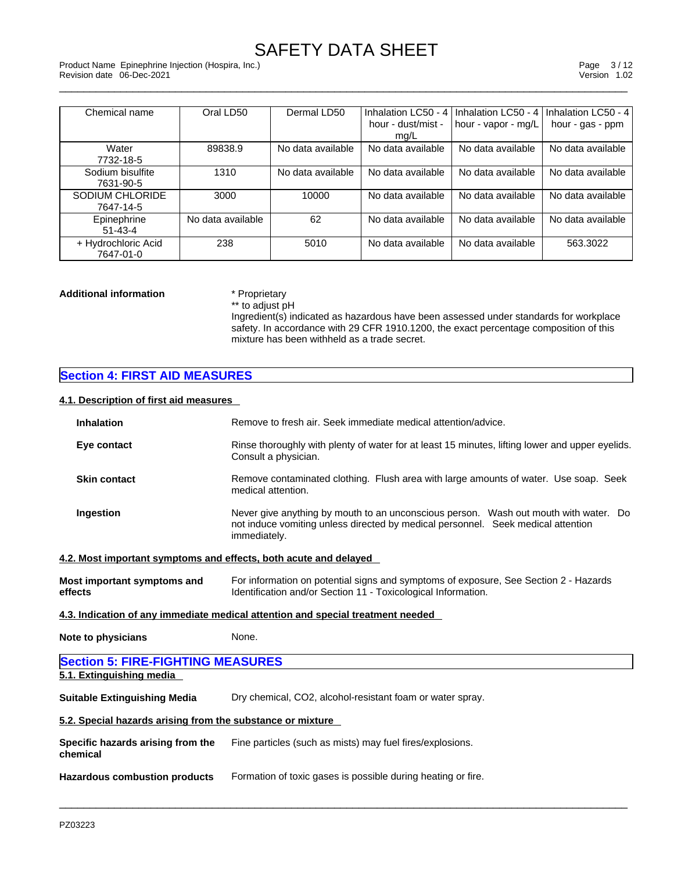\_\_\_\_\_\_\_\_\_\_\_\_\_\_\_\_\_\_\_\_\_\_\_\_\_\_\_\_\_\_\_\_\_\_\_\_\_\_\_\_\_\_\_\_\_\_\_\_\_\_\_\_\_\_\_\_\_\_\_\_\_\_\_\_\_\_\_\_\_\_\_\_\_\_\_\_\_\_\_\_\_\_\_\_\_\_\_\_\_\_\_\_\_ Product Name Epinephrine Injection (Hospira, Inc.) Page 3 / 12 Revision date 06-Dec-2021 Version 1.02

| Chemical name       | Oral LD50         | Dermal LD50       | Inhalation LC50 - 4 | I Inhalation LC50 - 4 I | Inhalation LC50 - 4 |
|---------------------|-------------------|-------------------|---------------------|-------------------------|---------------------|
|                     |                   |                   | hour - dust/mist -  | hour - vapor - mg/L     | hour - gas - ppm    |
|                     |                   |                   | mg/L                |                         |                     |
| Water               | 89838.9           | No data available | No data available   | No data available       | No data available   |
| 7732-18-5           |                   |                   |                     |                         |                     |
| Sodium bisulfite    | 1310              | No data available | No data available   | No data available       | No data available   |
| 7631-90-5           |                   |                   |                     |                         |                     |
| SODIUM CHLORIDE     | 3000              | 10000             | No data available   | No data available       | No data available   |
| 7647-14-5           |                   |                   |                     |                         |                     |
| Epinephrine         | No data available | 62                | No data available   | No data available       | No data available   |
| $51 - 43 - 4$       |                   |                   |                     |                         |                     |
| + Hydrochloric Acid | 238               | 5010              | No data available   | No data available       | 563.3022            |
| 7647-01-0           |                   |                   |                     |                         |                     |

# **Additional information** \* Proprietary \*\* to adjust pH

Ingredient(s) indicated as hazardous have been assessed under standards for workplace safety. In accordance with 29 CFR 1910.1200, the exact percentage composition of this mixture has been withheld as a trade secret.

# **Section 4: FIRST AID MEASURES**

## **4.1. Description of first aid measures**

| <b>Inhalation</b>                                                | Remove to fresh air. Seek immediate medical attention/advice.                                                                                                                            |
|------------------------------------------------------------------|------------------------------------------------------------------------------------------------------------------------------------------------------------------------------------------|
| Eye contact                                                      | Rinse thoroughly with plenty of water for at least 15 minutes, lifting lower and upper eyelids.<br>Consult a physician.                                                                  |
| <b>Skin contact</b>                                              | Remove contaminated clothing. Flush area with large amounts of water. Use soap. Seek<br>medical attention.                                                                               |
| Ingestion                                                        | Never give anything by mouth to an unconscious person. Wash out mouth with water. Do<br>not induce vomiting unless directed by medical personnel. Seek medical attention<br>immediately. |
| 4.2. Most important symptoms and effects, both acute and delayed |                                                                                                                                                                                          |
| Most important symptoms and<br>effects                           | For information on potential signs and symptoms of exposure, See Section 2 - Hazards<br>Identification and/or Section 11 - Toxicological Information.                                    |
|                                                                  | 4.3. Indication of any immediate medical attention and special treatment needed                                                                                                          |
| <b>Note to physicians</b>                                        | None.                                                                                                                                                                                    |
| <b>Section 5: FIRE-FIGHTING MEASURES</b>                         |                                                                                                                                                                                          |
| 5.1. Extinguishing media                                         |                                                                                                                                                                                          |
| Suitable Extinguishing Media                                     | Dry chemical, CO2, alcohol-resistant foam or water spray.                                                                                                                                |
| 5.2. Special hazards arising from the substance or mixture       |                                                                                                                                                                                          |
| Specific hazards arising from the<br>chemical                    | Fine particles (such as mists) may fuel fires/explosions.                                                                                                                                |
| <b>Hazardous combustion products</b>                             | Formation of toxic gases is possible during heating or fire.                                                                                                                             |
|                                                                  |                                                                                                                                                                                          |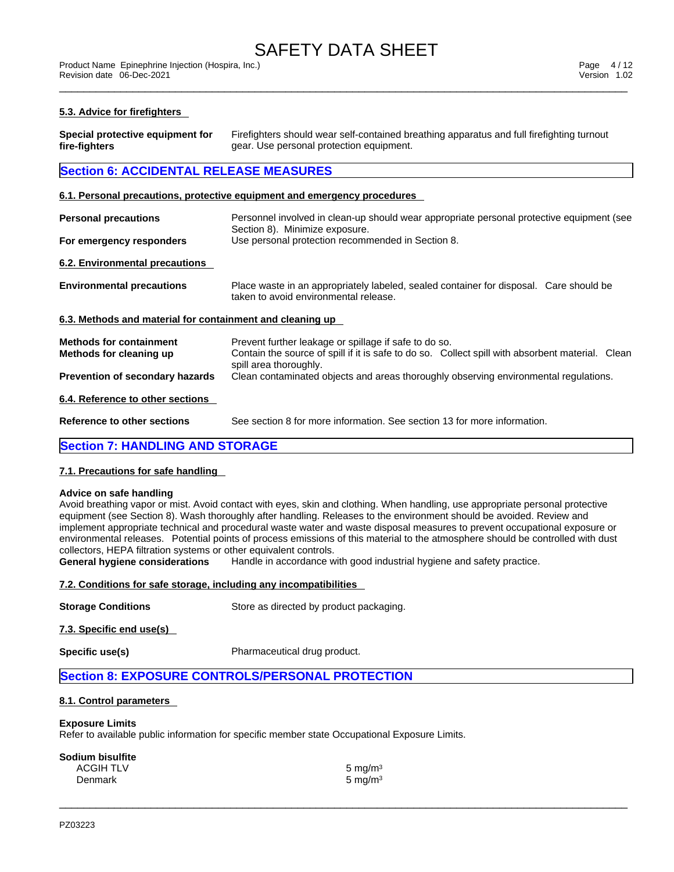\_\_\_\_\_\_\_\_\_\_\_\_\_\_\_\_\_\_\_\_\_\_\_\_\_\_\_\_\_\_\_\_\_\_\_\_\_\_\_\_\_\_\_\_\_\_\_\_\_\_\_\_\_\_\_\_\_\_\_\_\_\_\_\_\_\_\_\_\_\_\_\_\_\_\_\_\_\_\_\_\_\_\_\_\_\_\_\_\_\_\_\_\_ Product Name Epinephrine Injection (Hospira, Inc.) Page 4 / 12 Revision date 06-Dec-2021 Version 1.02

#### **5.3. Advice for firefighters**

| Special protective equipment for | Firefighters should wear self-contained breathing apparatus and full firefighting turnout |
|----------------------------------|-------------------------------------------------------------------------------------------|
| fire-fighters                    | gear. Use personal protection equipment.                                                  |

# **Section 6: ACCIDENTAL RELEASE MEASURES**

#### **6.1. Personal precautions, protective equipment and emergency procedures**

| <b>Personal precautions</b>                               | Personnel involved in clean-up should wear appropriate personal protective equipment (see<br>Section 8). Minimize exposure.                                                         |
|-----------------------------------------------------------|-------------------------------------------------------------------------------------------------------------------------------------------------------------------------------------|
| For emergency responders                                  | Use personal protection recommended in Section 8.                                                                                                                                   |
| 6.2. Environmental precautions                            |                                                                                                                                                                                     |
| <b>Environmental precautions</b>                          | Place waste in an appropriately labeled, sealed container for disposal. Care should be<br>taken to avoid environmental release.                                                     |
| 6.3. Methods and material for containment and cleaning up |                                                                                                                                                                                     |
| <b>Methods for containment</b><br>Methods for cleaning up | Prevent further leakage or spillage if safe to do so.<br>Contain the source of spill if it is safe to do so. Collect spill with absorbent material. Clean<br>spill area thoroughly. |
| <b>Prevention of secondary hazards</b>                    | Clean contaminated objects and areas thoroughly observing environmental regulations.                                                                                                |
| 6.4. Reference to other sections                          |                                                                                                                                                                                     |
| <b>Reference to other sections</b>                        | See section 8 for more information. See section 13 for more information.                                                                                                            |
| <b>Section 7: HANDLING AND STORAGE</b>                    |                                                                                                                                                                                     |

# **7.1. Precautions for safe handling**

#### **Advice on safe handling**

Avoid breathing vapor or mist. Avoid contact with eyes, skin and clothing. When handling, use appropriate personal protective equipment (see Section 8). Wash thoroughly after handling. Releases to the environment should be avoided. Review and implement appropriate technical and procedural waste water and waste disposal measures to prevent occupational exposure or environmental releases. Potential points of process emissions of this material to the atmosphere should be controlled with dust collectors, HEPA filtration systems or other equivalent controls.

 $\_$  ,  $\_$  ,  $\_$  ,  $\_$  ,  $\_$  ,  $\_$  ,  $\_$  ,  $\_$  ,  $\_$  ,  $\_$  ,  $\_$  ,  $\_$  ,  $\_$  ,  $\_$  ,  $\_$  ,  $\_$  ,  $\_$  ,  $\_$  ,  $\_$  ,  $\_$  ,  $\_$  ,  $\_$  ,  $\_$  ,  $\_$  ,  $\_$  ,  $\_$  ,  $\_$  ,  $\_$  ,  $\_$  ,  $\_$  ,  $\_$  ,  $\_$  ,  $\_$  ,  $\_$  ,  $\_$  ,  $\_$  ,  $\_$  ,

**General hygiene considerations** Handle in accordance with good industrial hygiene and safety practice.

#### **7.2. Conditions for safe storage, including any incompatibilities**

**Storage Conditions** Store as directed by product packaging.

**7.3. Specific end use(s)** 

**Specific use(s)** Pharmaceutical drug product.

### **Section 8: EXPOSURE CONTROLS/PERSONAL PROTECTION**

#### **8.1. Control parameters**

#### **Exposure Limits**

Refer to available public information for specific member state Occupational Exposure Limits.

| 5 mg/m $3$ |
|------------|
| 5 mg/m $3$ |
|            |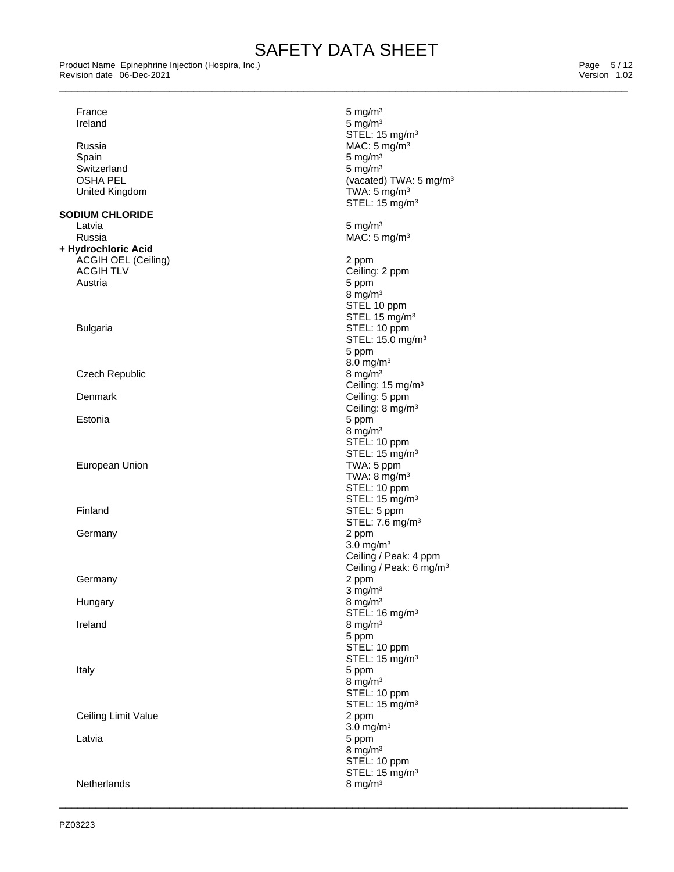\_\_\_\_\_\_\_\_\_\_\_\_\_\_\_\_\_\_\_\_\_\_\_\_\_\_\_\_\_\_\_\_\_\_\_\_\_\_\_\_\_\_\_\_\_\_\_\_\_\_\_\_\_\_\_\_\_\_\_\_\_\_\_\_\_\_\_\_\_\_\_\_\_\_\_\_\_\_\_\_\_\_\_\_\_\_\_\_\_\_\_\_\_ Product Name Epinephrine Injection (Hospira, Inc.) Page 5 / 12 Revision date 06-Dec-2021 Version 1.02

| France                     | $5$ mg/m $3$                          |
|----------------------------|---------------------------------------|
| Ireland                    | 5 mg/m $3$                            |
|                            | STEL: 15 mg/m <sup>3</sup>            |
| Russia                     | MAC: $5 \text{ mg/m}^3$               |
| Spain                      | 5 mg/ $m3$                            |
| Switzerland                | $5 \text{ mg/m}^3$                    |
| <b>OSHA PEL</b>            | (vacated) TWA: 5 mg/m <sup>3</sup>    |
| United Kingdom             | TWA: $5 \text{ mg/m}^3$               |
|                            | STEL: 15 mg/m <sup>3</sup>            |
| <b>SODIUM CHLORIDE</b>     |                                       |
| Latvia                     | 5 mg/m $3$                            |
| Russia                     | MAC: $5 \text{ mg/m}^3$               |
|                            |                                       |
| + Hydrochloric Acid        |                                       |
| <b>ACGIH OEL (Ceiling)</b> | 2 ppm                                 |
| <b>ACGIH TLV</b>           | Ceiling: 2 ppm                        |
| Austria                    | 5 ppm                                 |
|                            | 8 mg/m $3$                            |
|                            | STEL 10 ppm                           |
|                            | STEL 15 mg/m <sup>3</sup>             |
| <b>Bulgaria</b>            | STEL: 10 ppm                          |
|                            | STEL: 15.0 mg/m <sup>3</sup>          |
|                            | 5 ppm                                 |
|                            | 8.0 mg/m $3$                          |
| Czech Republic             | 8 mg/m $3$                            |
|                            | Ceiling: 15 mg/m <sup>3</sup>         |
| Denmark                    | Ceiling: 5 ppm                        |
|                            | Ceiling: 8 mg/m <sup>3</sup>          |
| Estonia                    | 5 ppm                                 |
|                            | 8 mg/m $3$                            |
|                            | STEL: 10 ppm                          |
|                            | STEL: 15 mg/m <sup>3</sup>            |
| European Union             | TWA: 5 ppm                            |
|                            | TWA: $8 \text{ mg/m}^3$               |
|                            | STEL: 10 ppm                          |
|                            | STEL: 15 mg/m <sup>3</sup>            |
| Finland                    | STEL: 5 ppm                           |
|                            | STEL: 7.6 mg/m <sup>3</sup>           |
|                            |                                       |
| Germany                    | 2 ppm                                 |
|                            | 3.0 mg/ $m3$<br>Ceiling / Peak: 4 ppm |
|                            |                                       |
|                            | Ceiling / Peak: 6 mg/m <sup>3</sup>   |
| Germany                    | 2 ppm                                 |
|                            | $3$ mg/m <sup>3</sup>                 |
| Hungary                    | 8 mg/m $3$                            |
|                            | STEL: 16 mg/m <sup>3</sup>            |
| Ireland                    | 8 mg/m $3$                            |
|                            | 5 ppm                                 |
|                            | STEL: 10 ppm                          |
|                            | STEL: 15 mg/m <sup>3</sup>            |
| Italy                      | 5 ppm                                 |
|                            | 8 mg/m $3$                            |
|                            | STEL: 10 ppm                          |
|                            | STEL: 15 mg/m <sup>3</sup>            |
| Ceiling Limit Value        | 2 ppm                                 |
|                            | 3.0 mg/ $m3$                          |
| Latvia                     | 5 ppm                                 |
|                            | 8 mg/m $3$                            |
|                            | STEL: 10 ppm                          |
|                            | STEL: 15 mg/m <sup>3</sup>            |
| Netherlands                | 8 mg/m $3$                            |
|                            |                                       |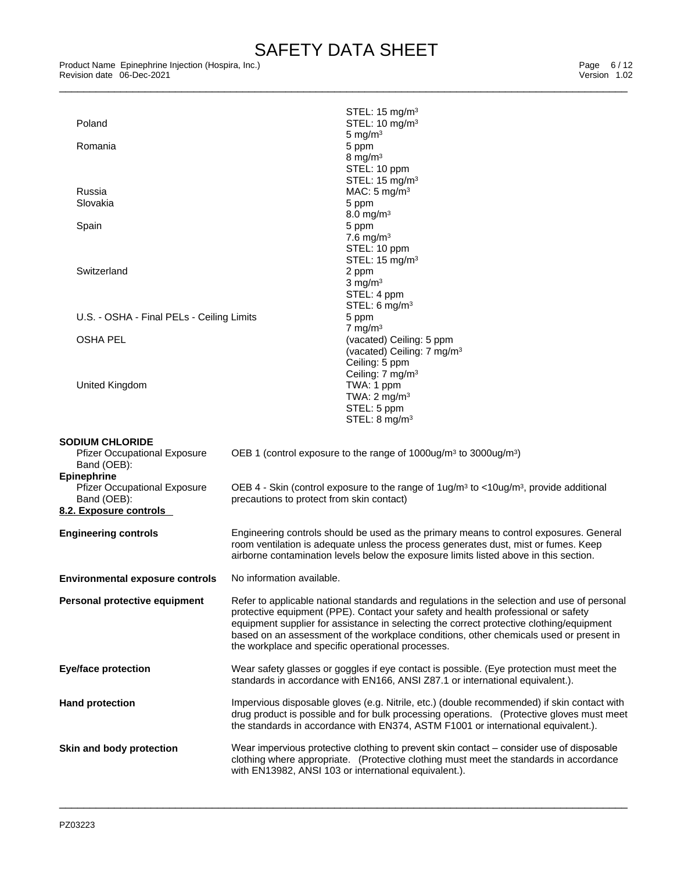\_\_\_\_\_\_\_\_\_\_\_\_\_\_\_\_\_\_\_\_\_\_\_\_\_\_\_\_\_\_\_\_\_\_\_\_\_\_\_\_\_\_\_\_\_\_\_\_\_\_\_\_\_\_\_\_\_\_\_\_\_\_\_\_\_\_\_\_\_\_\_\_\_\_\_\_\_\_\_\_\_\_\_\_\_\_\_\_\_\_\_\_\_ Product Name Epinephrine Injection (Hospira, Inc.) Page 6 / 12 Revision date 06-Dec-2021 Version 1.02

| Poland                                             |                                           | STEL: $15 \text{ mg/m}^3$<br>STEL: 10 mg/m <sup>3</sup>                                                                                                                            |
|----------------------------------------------------|-------------------------------------------|------------------------------------------------------------------------------------------------------------------------------------------------------------------------------------|
|                                                    |                                           | 5 mg/ $m3$                                                                                                                                                                         |
| Romania                                            |                                           | 5 ppm<br>8 mg/m $3$                                                                                                                                                                |
|                                                    |                                           | STEL: 10 ppm                                                                                                                                                                       |
|                                                    |                                           | STEL: 15 mg/m <sup>3</sup>                                                                                                                                                         |
| Russia<br>Slovakia                                 |                                           | MAC: $5 \text{ mg/m}^3$                                                                                                                                                            |
|                                                    |                                           | 5 ppm<br>$8.0 \,\mathrm{mg/m^3}$                                                                                                                                                   |
| Spain                                              |                                           | 5 ppm                                                                                                                                                                              |
|                                                    |                                           | 7.6 mg/m $3$                                                                                                                                                                       |
|                                                    |                                           | STEL: 10 ppm                                                                                                                                                                       |
| Switzerland                                        |                                           | STEL: 15 mg/m <sup>3</sup><br>2 ppm                                                                                                                                                |
|                                                    |                                           | $3$ mg/m $3$                                                                                                                                                                       |
|                                                    |                                           | STEL: 4 ppm                                                                                                                                                                        |
|                                                    |                                           | STEL: 6 $mg/m3$                                                                                                                                                                    |
| U.S. - OSHA - Final PELs - Ceiling Limits          |                                           | 5 ppm<br>7 mg/m $3$                                                                                                                                                                |
| <b>OSHA PEL</b>                                    |                                           | (vacated) Ceiling: 5 ppm                                                                                                                                                           |
|                                                    |                                           | (vacated) Ceiling: 7 mg/m <sup>3</sup>                                                                                                                                             |
|                                                    |                                           | Ceiling: 5 ppm                                                                                                                                                                     |
| <b>United Kingdom</b>                              |                                           | Ceiling: 7 mg/m <sup>3</sup><br>TWA: 1 ppm                                                                                                                                         |
|                                                    |                                           | TWA: $2 \text{ mg/m}^3$                                                                                                                                                            |
|                                                    |                                           | STEL: 5 ppm                                                                                                                                                                        |
|                                                    |                                           | STEL: 8 mg/m <sup>3</sup>                                                                                                                                                          |
| <b>SODIUM CHLORIDE</b>                             |                                           |                                                                                                                                                                                    |
| <b>Pfizer Occupational Exposure</b>                |                                           | OEB 1 (control exposure to the range of $1000\mu\text{g/m}^3$ to $3000\mu\text{g/m}^3$ )                                                                                           |
| Band (OEB):                                        |                                           |                                                                                                                                                                                    |
| <b>Epinephrine</b>                                 |                                           |                                                                                                                                                                                    |
| <b>Pfizer Occupational Exposure</b><br>Band (OEB): | precautions to protect from skin contact) | OEB 4 - Skin (control exposure to the range of $1 u g/m3$ to <10ug/m <sup>3</sup> , provide additional                                                                             |
| 8.2. Exposure controls                             |                                           |                                                                                                                                                                                    |
|                                                    |                                           |                                                                                                                                                                                    |
| <b>Engineering controls</b>                        |                                           | Engineering controls should be used as the primary means to control exposures. General                                                                                             |
|                                                    |                                           | room ventilation is adequate unless the process generates dust, mist or fumes. Keep<br>airborne contamination levels below the exposure limits listed above in this section.       |
|                                                    |                                           |                                                                                                                                                                                    |
| <b>Environmental exposure controls</b>             | No information available.                 |                                                                                                                                                                                    |
| Personal protective equipment                      |                                           | Refer to applicable national standards and regulations in the selection and use of personal                                                                                        |
|                                                    |                                           | protective equipment (PPE). Contact your safety and health professional or safety                                                                                                  |
|                                                    |                                           | equipment supplier for assistance in selecting the correct protective clothing/equipment<br>based on an assessment of the workplace conditions, other chemicals used or present in |
|                                                    |                                           | the workplace and specific operational processes.                                                                                                                                  |
|                                                    |                                           |                                                                                                                                                                                    |
| <b>Eye/face protection</b>                         |                                           | Wear safety glasses or goggles if eye contact is possible. (Eye protection must meet the                                                                                           |
|                                                    |                                           | standards in accordance with EN166, ANSI Z87.1 or international equivalent.).                                                                                                      |
| <b>Hand protection</b>                             |                                           | Impervious disposable gloves (e.g. Nitrile, etc.) (double recommended) if skin contact with                                                                                        |
|                                                    |                                           | drug product is possible and for bulk processing operations. (Protective gloves must meet                                                                                          |
|                                                    |                                           | the standards in accordance with EN374, ASTM F1001 or international equivalent.).                                                                                                  |
|                                                    |                                           | Wear impervious protective clothing to prevent skin contact – consider use of disposable                                                                                           |
| Skin and body protection                           |                                           | clothing where appropriate. (Protective clothing must meet the standards in accordance                                                                                             |
|                                                    |                                           | with EN13982, ANSI 103 or international equivalent.).                                                                                                                              |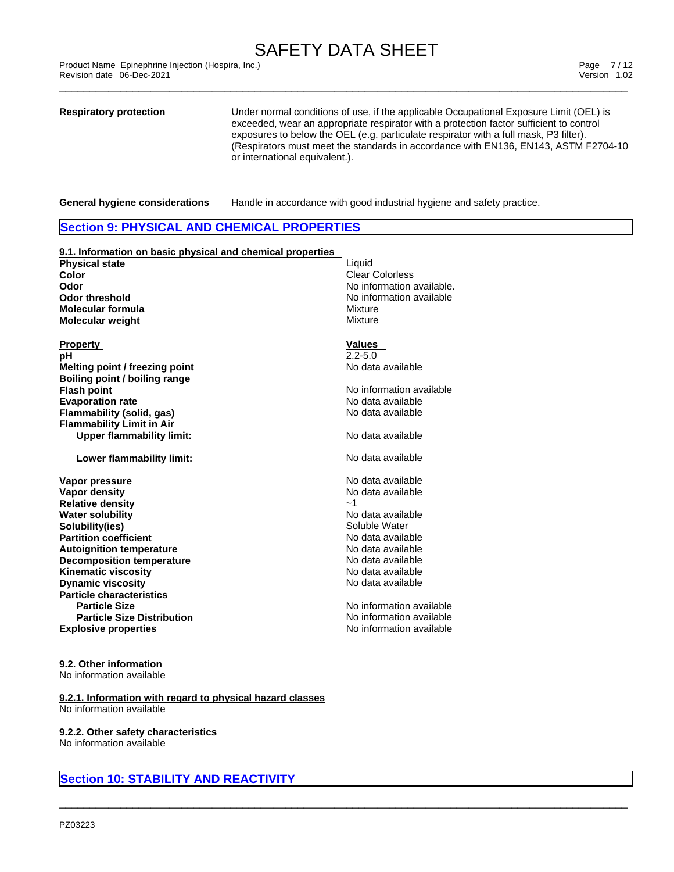\_\_\_\_\_\_\_\_\_\_\_\_\_\_\_\_\_\_\_\_\_\_\_\_\_\_\_\_\_\_\_\_\_\_\_\_\_\_\_\_\_\_\_\_\_\_\_\_\_\_\_\_\_\_\_\_\_\_\_\_\_\_\_\_\_\_\_\_\_\_\_\_\_\_\_\_\_\_\_\_\_\_\_\_\_\_\_\_\_\_\_\_\_ Product Name Epinephrine Injection (Hospira, Inc.) Page 7 / 12 Revision date 06-Dec-2021 Version 1.02

**Respiratory protection** Under normal conditions of use, if the applicable Occupational Exposure Limit (OEL) is exceeded, wear an appropriate respirator with a protection factor sufficient to control exposures to below the OEL (e.g. particulate respirator with a full mask,P3 filter). (Respirators must meet the standards in accordance with EN136, EN143, ASTM F2704-10 or international equivalent.).

**General hygiene considerations** Handle in accordance with good industrial hygiene and safety practice.

# **Section 9: PHYSICAL AND CHEMICAL PROPERTIES**

| 9.1. Information on basic physical and chemical properties |                           |
|------------------------------------------------------------|---------------------------|
| <b>Physical state</b>                                      | Liquid                    |
| Color                                                      | <b>Clear Colorless</b>    |
| Odor                                                       | No information available. |
| <b>Odor threshold</b>                                      | No information available  |
| <b>Molecular formula</b>                                   | Mixture                   |
| <b>Molecular weight</b>                                    | Mixture                   |
|                                                            |                           |
| <b>Property</b>                                            | <b>Values</b>             |
| рH                                                         | $2.2 - 5.0$               |
| Melting point / freezing point                             | No data available         |
| Boiling point / boiling range                              |                           |
| <b>Flash point</b>                                         | No information available  |
| <b>Evaporation rate</b>                                    | No data available         |
| <b>Flammability (solid, gas)</b>                           | No data available         |
| <b>Flammability Limit in Air</b>                           |                           |
| <b>Upper flammability limit:</b>                           | No data available         |
| Lower flammability limit:                                  | No data available         |
|                                                            |                           |
|                                                            |                           |
| Vapor pressure                                             | No data available         |
| <b>Vapor density</b>                                       | No data available         |
| <b>Relative density</b>                                    | $-1$                      |
| <b>Water solubility</b>                                    | No data available         |
| Solubility(ies)                                            | Soluble Water             |
| <b>Partition coefficient</b>                               | No data available         |
| <b>Autoignition temperature</b>                            | No data available         |
| <b>Decomposition temperature</b>                           | No data available         |
| <b>Kinematic viscosity</b>                                 | No data available         |
| <b>Dynamic viscosity</b>                                   | No data available         |
| <b>Particle characteristics</b>                            |                           |
| <b>Particle Size</b>                                       | No information available  |
| <b>Particle Size Distribution</b>                          | No information available  |
| <b>Explosive properties</b>                                | No information available  |

# **9.2. Other information**

No information available

**9.2.1. Information with regard to physical hazard classes** No information available

### **9.2.2. Other safety characteristics**

No information available

# **Section 10: STABILITY AND REACTIVITY**

| Liauid                   |
|--------------------------|
| Clear Colorless          |
| No information available |
| No information available |
| Mixture                  |
| Mixture                  |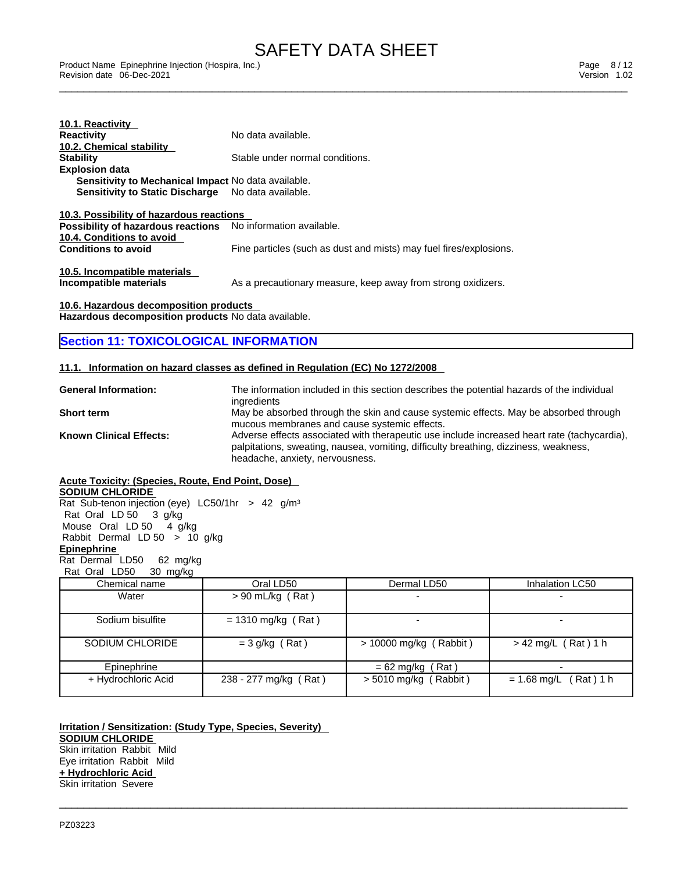\_\_\_\_\_\_\_\_\_\_\_\_\_\_\_\_\_\_\_\_\_\_\_\_\_\_\_\_\_\_\_\_\_\_\_\_\_\_\_\_\_\_\_\_\_\_\_\_\_\_\_\_\_\_\_\_\_\_\_\_\_\_\_\_\_\_\_\_\_\_\_\_\_\_\_\_\_\_\_\_\_\_\_\_\_\_\_\_\_\_\_\_\_ Product Name Epinephrine Injection (Hospira, Inc.) Page 8 / 12 Revision date 06-Dec-2021 Version 1.02

| 10.1. Reactivity                                                    |                                                                    |
|---------------------------------------------------------------------|--------------------------------------------------------------------|
| <b>Reactivity</b>                                                   | No data available.                                                 |
| 10.2. Chemical stability                                            |                                                                    |
| <b>Stability</b>                                                    | Stable under normal conditions.                                    |
| <b>Explosion data</b>                                               |                                                                    |
| <b>Sensitivity to Mechanical Impact No data available.</b>          |                                                                    |
| <b>Sensitivity to Static Discharge</b> No data available.           |                                                                    |
| 10.3. Possibility of hazardous reactions                            |                                                                    |
| <b>Possibility of hazardous reactions</b> No information available. |                                                                    |
| 10.4. Conditions to avoid                                           |                                                                    |
| <b>Conditions to avoid</b>                                          | Fine particles (such as dust and mists) may fuel fires/explosions. |
| 10.5. Incompatible materials<br>Incompatible materials              | As a precautionary measure, keep away from strong oxidizers.       |

**10.6. Hazardous decomposition products Hazardous decomposition products** No data available.

# **Section 11: TOXICOLOGICAL INFORMATION**

### **11.1. Information on hazard classes as defined in Regulation (EC) No 1272/2008**

| <b>General Information:</b>    | The information included in this section describes the potential hazards of the individual  |
|--------------------------------|---------------------------------------------------------------------------------------------|
|                                | ingredients                                                                                 |
| <b>Short term</b>              | May be absorbed through the skin and cause systemic effects. May be absorbed through        |
|                                | mucous membranes and cause systemic effects.                                                |
| <b>Known Clinical Effects:</b> | Adverse effects associated with therapeutic use include increased heart rate (tachycardia), |
|                                | palpitations, sweating, nausea, vomiting, difficulty breathing, dizziness, weakness,        |
|                                | headache, anxiety, nervousness.                                                             |

### **Acute Toxicity: (Species, Route, End Point, Dose)**

**SODIUM CHLORIDE**

Rat Sub-tenon injection (eye) LC50/1hr > 42 g/m<sup>3</sup> Rat Oral LD 50 3 g/kg Mouse Oral LD 50 4 g/kg Rabbit Dermal LD 50 > 10 g/kg **Epinephrine**  Rat Dermal LD50 62 mg/kg Rat Oral LD50 30 mg/kg

| Chemical name       | Oral LD50<br>Dermal LD50 |                          | Inhalation LC50         |
|---------------------|--------------------------|--------------------------|-------------------------|
| Water               | $> 90$ mL/kg (Rat)       |                          |                         |
| Sodium bisulfite    | $= 1310$ mg/kg (Rat)     |                          |                         |
| SODIUM CHLORIDE     | $=$ 3 g/kg (Rat)         | $> 10000$ mg/kg (Rabbit) | $> 42$ mg/L (Rat) 1 h   |
| Epinephrine         |                          | Rat)<br>$= 62$ mg/kg     |                         |
| + Hydrochloric Acid | 238 - 277 mg/kg (Rat)    | $>$ 5010 mg/kg (Rabbit)  | $= 1.68$ mg/L (Rat) 1 h |

 $\_$  ,  $\_$  ,  $\_$  ,  $\_$  ,  $\_$  ,  $\_$  ,  $\_$  ,  $\_$  ,  $\_$  ,  $\_$  ,  $\_$  ,  $\_$  ,  $\_$  ,  $\_$  ,  $\_$  ,  $\_$  ,  $\_$  ,  $\_$  ,  $\_$  ,  $\_$  ,  $\_$  ,  $\_$  ,  $\_$  ,  $\_$  ,  $\_$  ,  $\_$  ,  $\_$  ,  $\_$  ,  $\_$  ,  $\_$  ,  $\_$  ,  $\_$  ,  $\_$  ,  $\_$  ,  $\_$  ,  $\_$  ,  $\_$  ,

**Irritation / Sensitization: (Study Type, Species, Severity) SODIUM CHLORIDE** Skin irritation Rabbit Mild Eye irritation Rabbit Mild **+ Hydrochloric Acid** Skin irritation Severe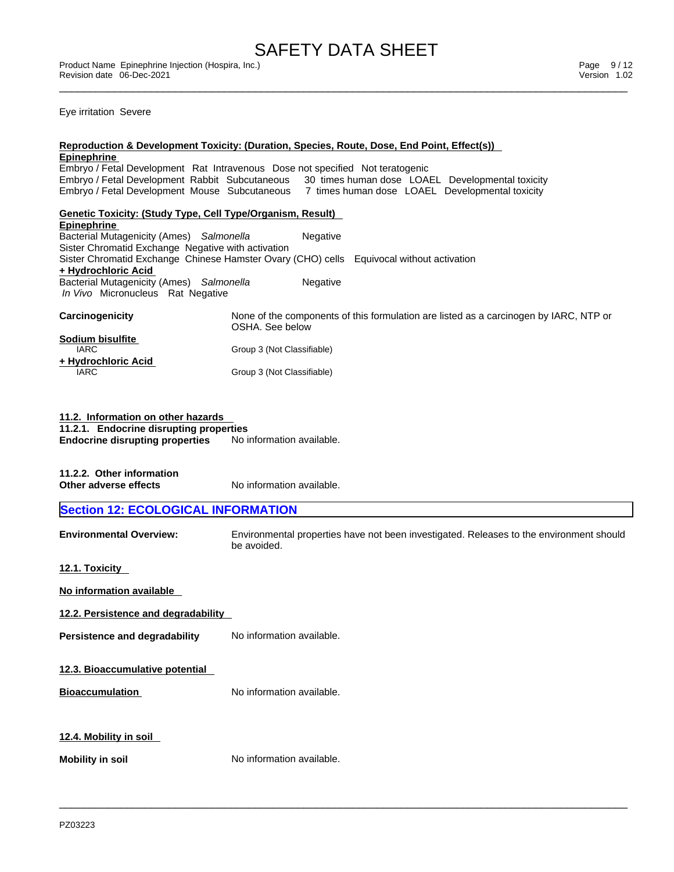Eye irritation Severe

| <u>Epinephrine</u>                                         | <u>Reproduction &amp; Development Toxicity: (Duration, Species, Route, Dose, End Point, Effect(s))</u> |
|------------------------------------------------------------|--------------------------------------------------------------------------------------------------------|
|                                                            | Embryo / Fetal Development Rat Intravenous Dose not specified Not teratogenic                          |
|                                                            | Embryo / Fetal Development Rabbit Subcutaneous 30 times human dose LOAEL Developmental toxicity        |
|                                                            | Embryo / Fetal Development Mouse Subcutaneous 7 times human dose LOAEL Developmental toxicity          |
| Genetic Toxicity: (Study Type, Cell Type/Organism, Result) |                                                                                                        |
| <b>Epinephrine</b>                                         |                                                                                                        |
| Bacterial Mutagenicity (Ames) Salmonella                   | Negative                                                                                               |
| Sister Chromatid Exchange Negative with activation         |                                                                                                        |
| + Hydrochloric Acid                                        | Sister Chromatid Exchange Chinese Hamster Ovary (CHO) cells Equivocal without activation               |
| Bacterial Mutagenicity (Ames) Salmonella                   | Negative                                                                                               |
| In Vivo Micronucleus Rat Negative                          |                                                                                                        |
|                                                            |                                                                                                        |
| <b>Carcinogenicity</b>                                     | None of the components of this formulation are listed as a carcinogen by IARC, NTP or                  |
|                                                            | OSHA. See below                                                                                        |
| Sodium bisulfite<br>IARC                                   | Group 3 (Not Classifiable)                                                                             |
| + Hydrochloric Acid                                        |                                                                                                        |
| <b>IARC</b>                                                | Group 3 (Not Classifiable)                                                                             |
|                                                            |                                                                                                        |
|                                                            |                                                                                                        |
| 11.2. Information on other hazards                         |                                                                                                        |
| 11.2.1. Endocrine disrupting properties                    |                                                                                                        |
| <b>Endocrine disrupting properties</b>                     | No information available.                                                                              |
|                                                            |                                                                                                        |
|                                                            |                                                                                                        |
| 11.2.2. Other information<br>Other adverse effects         | No information available.                                                                              |
|                                                            |                                                                                                        |
| <b>Section 12: ECOLOGICAL INFORMATION</b>                  |                                                                                                        |
|                                                            |                                                                                                        |
| <b>Environmental Overview:</b>                             | Environmental properties have not been investigated. Releases to the environment should                |
|                                                            | be avoided.                                                                                            |
| 12.1. Toxicity                                             |                                                                                                        |
|                                                            |                                                                                                        |
| No information available                                   |                                                                                                        |
| 12.2. Persistence and degradability                        |                                                                                                        |
| Persistence and degradability                              | No information available.                                                                              |
|                                                            |                                                                                                        |
|                                                            |                                                                                                        |
|                                                            |                                                                                                        |
| 12.3. Bioaccumulative potential                            |                                                                                                        |
|                                                            |                                                                                                        |
| <b>Bioaccumulation</b>                                     | No information available.                                                                              |
|                                                            |                                                                                                        |
|                                                            |                                                                                                        |
| 12.4. Mobility in soil                                     |                                                                                                        |
|                                                            |                                                                                                        |
| <b>Mobility in soil</b>                                    | No information available.                                                                              |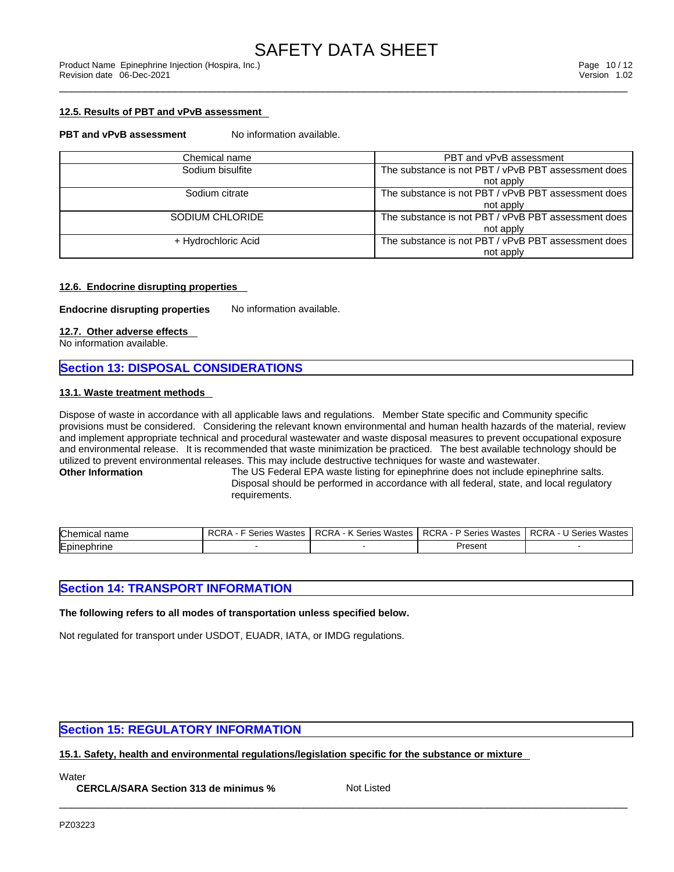### **12.5. Results of PBT and vPvB assessment**

#### **PBT** and **vPvB** assessment No information available.

| Chemical name       | PBT and vPvB assessment                             |
|---------------------|-----------------------------------------------------|
| Sodium bisulfite    | The substance is not PBT / vPvB PBT assessment does |
|                     | not apply                                           |
| Sodium citrate      | The substance is not PBT / vPvB PBT assessment does |
|                     | not apply                                           |
| SODIUM CHLORIDE     | The substance is not PBT / vPvB PBT assessment does |
|                     | not apply                                           |
| + Hydrochloric Acid | The substance is not PBT / vPvB PBT assessment does |
|                     | not apply                                           |

#### **12.6. Endocrine disrupting properties**

**Endocrine disrupting properties** No information available.

#### **12.7. Other adverse effects**

No information available.

# **Section 13: DISPOSAL CONSIDERATIONS**

### **13.1. Waste treatment methods**

Dispose of waste in accordance with all applicable laws and regulations. Member State specific and Community specific provisions must be considered. Considering the relevant known environmental and human health hazards of the material, review and implement appropriate technical and procedural wastewater and waste disposal measures to prevent occupational exposure and environmental release. It is recommended that waste minimization be practiced. The best available technology should be utilized to prevent environmental releases. This may include destructive techniques for waste and wastewater.<br>Other Information The US Federal EPA waste listing for epinephrine does not include epin

The US Federal EPA waste listing for epinephrine does not include epinephrine salts. Disposal should be performed in accordance with all federal, state, and local regulatory requirements.

| lChen<br>$\sim$<br>name | <b>DOL</b><br>√astes<br>eries | $\cdots$<br>DOD:<br>⊰ariae<br>Wastes<br>∴CRA<br>. | <b>RCRA</b><br>.<br>Wastes<br>Series | DOD A<br>.<br>Mactor)<br>`arıa.<br>.KURA |
|-------------------------|-------------------------------|---------------------------------------------------|--------------------------------------|------------------------------------------|
| Epiner<br>ш             |                               |                                                   | Present                              |                                          |

# **Section 14: TRANSPORT INFORMATION**

**The following refers to all modes of transportation unless specified below.**

Not regulated for transport under USDOT, EUADR, IATA, or IMDG regulations.

# **Section 15: REGULATORY INFORMATION**

**15.1. Safety, health and environmental regulations/legislation specific for the substance or mixture**

**Water** 

**CERCLA/SARA Section 313 de minimus %**

Not Listed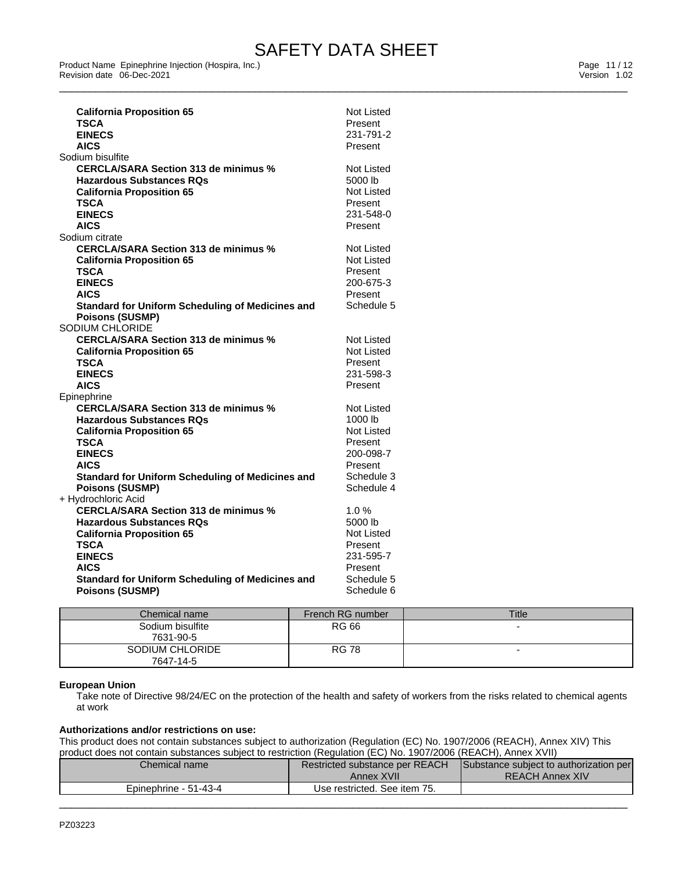\_\_\_\_\_\_\_\_\_\_\_\_\_\_\_\_\_\_\_\_\_\_\_\_\_\_\_\_\_\_\_\_\_\_\_\_\_\_\_\_\_\_\_\_\_\_\_\_\_\_\_\_\_\_\_\_\_\_\_\_\_\_\_\_\_\_\_\_\_\_\_\_\_\_\_\_\_\_\_\_\_\_\_\_\_\_\_\_\_\_\_\_\_ Product Name Epinephrine Injection (Hospira, Inc.) Page 11 / 12 Revision date 06-Dec-2021 Version 1.02

| <b>California Proposition 65</b>                        | <b>Not Listed</b> |
|---------------------------------------------------------|-------------------|
| TSCA                                                    | Present           |
| <b>EINECS</b>                                           | 231-791-2         |
| <b>AICS</b>                                             | Present           |
| Sodium bisulfite                                        |                   |
| <b>CERCLA/SARA Section 313 de minimus %</b>             | Not Listed        |
| <b>Hazardous Substances RQs</b>                         | 5000 lb           |
| <b>California Proposition 65</b>                        | <b>Not Listed</b> |
| <b>TSCA</b>                                             | Present           |
| <b>EINECS</b>                                           | 231-548-0         |
| <b>AICS</b>                                             | Present           |
| Sodium citrate                                          |                   |
| <b>CERCLA/SARA Section 313 de minimus %</b>             | <b>Not Listed</b> |
| <b>California Proposition 65</b>                        | Not Listed        |
| <b>TSCA</b>                                             | Present           |
| <b>EINECS</b>                                           | 200-675-3         |
| <b>AICS</b>                                             | Present           |
| Standard for Uniform Scheduling of Medicines and        | Schedule 5        |
| <b>Poisons (SUSMP)</b>                                  |                   |
| SODIUM CHLORIDE                                         |                   |
| <b>CERCLA/SARA Section 313 de minimus %</b>             | <b>Not Listed</b> |
| <b>California Proposition 65</b>                        | <b>Not Listed</b> |
| <b>TSCA</b>                                             | Present           |
| <b>EINECS</b>                                           | 231-598-3         |
| <b>AICS</b>                                             | Present           |
| Epinephrine                                             |                   |
| <b>CERCLA/SARA Section 313 de minimus %</b>             | Not Listed        |
| <b>Hazardous Substances RQs</b>                         | 1000 lb           |
| <b>California Proposition 65</b>                        | <b>Not Listed</b> |
| TSCA                                                    | Present           |
| <b>EINECS</b>                                           | 200-098-7         |
| <b>AICS</b>                                             | Present           |
| Standard for Uniform Scheduling of Medicines and        | Schedule 3        |
| <b>Poisons (SUSMP)</b>                                  | Schedule 4        |
| + Hydrochloric Acid                                     |                   |
| <b>CERCLA/SARA Section 313 de minimus %</b>             | 1.0%              |
| <b>Hazardous Substances RQs</b>                         | 5000 lb           |
| <b>California Proposition 65</b>                        | <b>Not Listed</b> |
| TSCA                                                    | Present           |
| <b>EINECS</b>                                           | 231-595-7         |
| <b>AICS</b>                                             | Present           |
| <b>Standard for Uniform Scheduling of Medicines and</b> | Schedule 5        |
| <b>Poisons (SUSMP)</b>                                  | Schedule 6        |
|                                                         |                   |

| Chemical name    | French RG number | <b>Title</b>             |
|------------------|------------------|--------------------------|
| Sodium bisulfite | RG 66            | -                        |
| 7631-90-5        |                  |                          |
| SODIUM CHLORIDE  | <b>RG 78</b>     | $\overline{\phantom{0}}$ |
| 7647-14-5        |                  |                          |

#### **European Union**

Take note of Directive 98/24/EC on the protection of the health and safety of workers from the risks related to chemical agents at work

#### **Authorizations and/or restrictions on use:**

This product does not contain substances subject to authorization (Regulation (EC) No. 1907/2006 (REACH), Annex XIV) This product does not contain substances subject to restriction (Regulation (EC) No. 1907/2006 (REACH), Annex XVII)

| Chemical name i       | Restricted substance per REACH<br>Annex XVII | Substance subject to authorization per<br><b>REACH Annex XIV</b> |
|-----------------------|----------------------------------------------|------------------------------------------------------------------|
| Epinephrine - 51-43-4 | Use restricted. See item 75.                 |                                                                  |